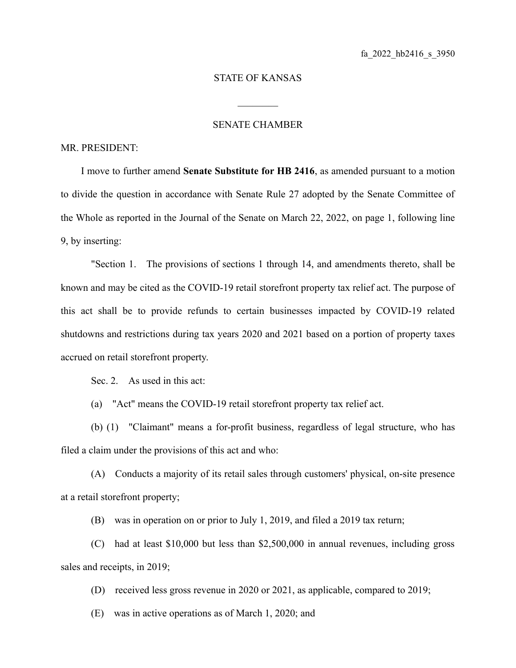## STATE OF KANSAS

 $\mathcal{L}_\text{max}$ 

## SENATE CHAMBER

## MR. PRESIDENT:

I move to further amend **Senate Substitute for HB 2416**, as amended pursuant to a motion to divide the question in accordance with Senate Rule 27 adopted by the Senate Committee of the Whole as reported in the Journal of the Senate on March 22, 2022, on page 1, following line 9, by inserting:

"Section 1. The provisions of sections 1 through 14, and amendments thereto, shall be known and may be cited as the COVID-19 retail storefront property tax relief act. The purpose of this act shall be to provide refunds to certain businesses impacted by COVID-19 related shutdowns and restrictions during tax years 2020 and 2021 based on a portion of property taxes accrued on retail storefront property.

Sec. 2. As used in this act:

(a) "Act" means the COVID-19 retail storefront property tax relief act.

(b) (1) "Claimant" means a for-profit business, regardless of legal structure, who has filed a claim under the provisions of this act and who:

(A) Conducts a majority of its retail sales through customers' physical, on-site presence at a retail storefront property;

(B) was in operation on or prior to July 1, 2019, and filed a 2019 tax return;

(C) had at least \$10,000 but less than \$2,500,000 in annual revenues, including gross sales and receipts, in 2019;

(D) received less gross revenue in 2020 or 2021, as applicable, compared to 2019;

(E) was in active operations as of March 1, 2020; and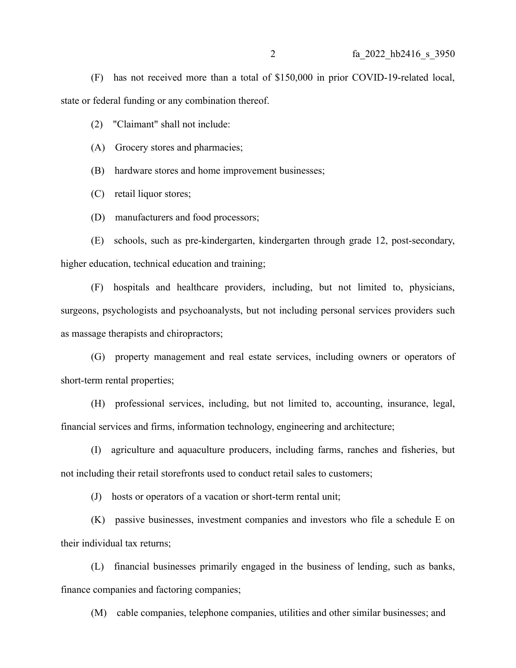(F) has not received more than a total of \$150,000 in prior COVID-19-related local, state or federal funding or any combination thereof.

(2) "Claimant" shall not include:

(A) Grocery stores and pharmacies;

(B) hardware stores and home improvement businesses;

(C) retail liquor stores;

(D) manufacturers and food processors;

(E) schools, such as pre-kindergarten, kindergarten through grade 12, post-secondary, higher education, technical education and training;

(F) hospitals and healthcare providers, including, but not limited to, physicians, surgeons, psychologists and psychoanalysts, but not including personal services providers such as massage therapists and chiropractors;

(G) property management and real estate services, including owners or operators of short-term rental properties;

(H) professional services, including, but not limited to, accounting, insurance, legal, financial services and firms, information technology, engineering and architecture;

(I) agriculture and aquaculture producers, including farms, ranches and fisheries, but not including their retail storefronts used to conduct retail sales to customers;

(J) hosts or operators of a vacation or short-term rental unit;

(K) passive businesses, investment companies and investors who file a schedule E on their individual tax returns;

(L) financial businesses primarily engaged in the business of lending, such as banks, finance companies and factoring companies;

(M) cable companies, telephone companies, utilities and other similar businesses; and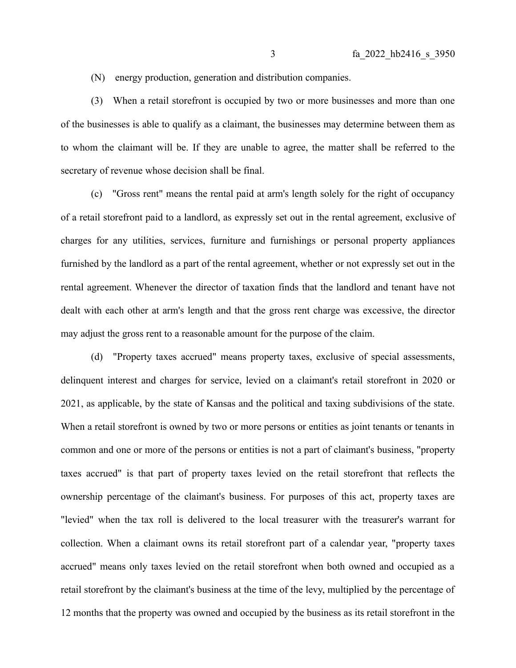(N) energy production, generation and distribution companies.

(3) When a retail storefront is occupied by two or more businesses and more than one of the businesses is able to qualify as a claimant, the businesses may determine between them as to whom the claimant will be. If they are unable to agree, the matter shall be referred to the secretary of revenue whose decision shall be final.

(c) "Gross rent" means the rental paid at arm's length solely for the right of occupancy of a retail storefront paid to a landlord, as expressly set out in the rental agreement, exclusive of charges for any utilities, services, furniture and furnishings or personal property appliances furnished by the landlord as a part of the rental agreement, whether or not expressly set out in the rental agreement. Whenever the director of taxation finds that the landlord and tenant have not dealt with each other at arm's length and that the gross rent charge was excessive, the director may adjust the gross rent to a reasonable amount for the purpose of the claim.

(d) "Property taxes accrued" means property taxes, exclusive of special assessments, delinquent interest and charges for service, levied on a claimant's retail storefront in 2020 or 2021, as applicable, by the state of Kansas and the political and taxing subdivisions of the state. When a retail storefront is owned by two or more persons or entities as joint tenants or tenants in common and one or more of the persons or entities is not a part of claimant's business, "property taxes accrued" is that part of property taxes levied on the retail storefront that reflects the ownership percentage of the claimant's business. For purposes of this act, property taxes are "levied" when the tax roll is delivered to the local treasurer with the treasurer's warrant for collection. When a claimant owns its retail storefront part of a calendar year, "property taxes accrued" means only taxes levied on the retail storefront when both owned and occupied as a retail storefront by the claimant's business at the time of the levy, multiplied by the percentage of 12 months that the property was owned and occupied by the business as its retail storefront in the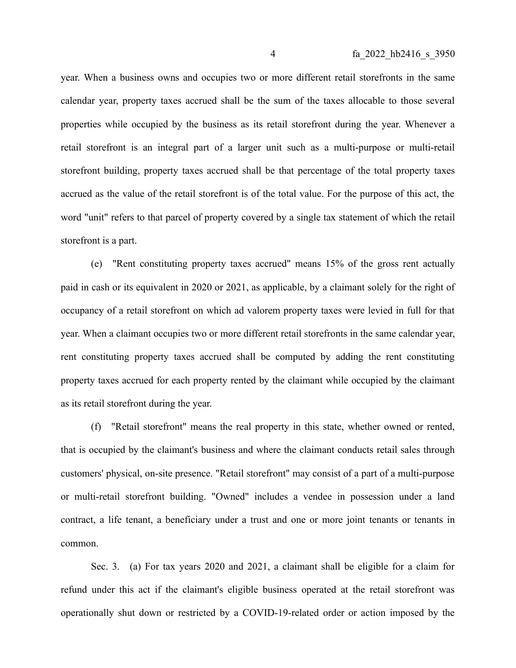year. When a business owns and occupies two or more different retail storefronts in the same calendar year, property taxes accrued shall be the sum of the taxes allocable to those several properties while occupied by the business as its retail storefront during the year. Whenever a retail storefront is an integral part of a larger unit such as a multi-purpose or multi-retail storefront building, property taxes accrued shall be that percentage of the total property taxes accrued as the value of the retail storefront is of the total value. For the purpose of this act, the word "unit" refers to that parcel of property covered by a single tax statement of which the retail storefront is a part.

(e) "Rent constituting property taxes accrued" means 15% of the gross rent actually paid in cash or its equivalent in 2020 or 2021, as applicable, by a claimant solely for the right of occupancy of a retail storefront on which ad valorem property taxes were levied in full for that year. When a claimant occupies two or more different retail storefronts in the same calendar year, rent constituting property taxes accrued shall be computed by adding the rent constituting property taxes accrued for each property rented by the claimant while occupied by the claimant as its retail storefront during the year.

(f) "Retail storefront" means the real property in this state, whether owned or rented, that is occupied by the claimant's business and where the claimant conducts retail sales through customers' physical, on-site presence. "Retail storefront" may consist of a part of a multi-purpose or multi-retail storefront building. "Owned" includes a vendee in possession under a land contract, a life tenant, a beneficiary under a trust and one or more joint tenants or tenants in common.

Sec. 3. (a) For tax years 2020 and 2021, a claimant shall be eligible for a claim for refund under this act if the claimant's eligible business operated at the retail storefront was operationally shut down or restricted by a COVID-19-related order or action imposed by the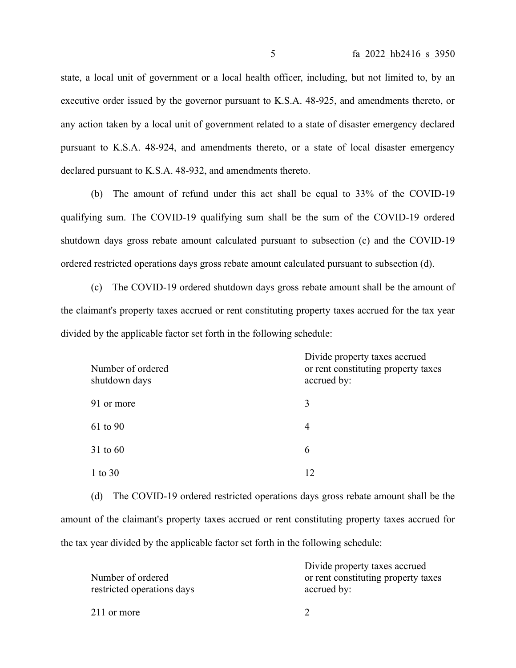state, a local unit of government or a local health officer, including, but not limited to, by an executive order issued by the governor pursuant to K.S.A. 48-925, and amendments thereto, or any action taken by a local unit of government related to a state of disaster emergency declared pursuant to K.S.A. 48-924, and amendments thereto, or a state of local disaster emergency declared pursuant to K.S.A. 48-932, and amendments thereto.

(b) The amount of refund under this act shall be equal to 33% of the COVID-19 qualifying sum. The COVID-19 qualifying sum shall be the sum of the COVID-19 ordered shutdown days gross rebate amount calculated pursuant to subsection (c) and the COVID-19 ordered restricted operations days gross rebate amount calculated pursuant to subsection (d).

(c) The COVID-19 ordered shutdown days gross rebate amount shall be the amount of the claimant's property taxes accrued or rent constituting property taxes accrued for the tax year divided by the applicable factor set forth in the following schedule:

| Number of ordered<br>shutdown days | Divide property taxes accrued<br>or rent constituting property taxes<br>accrued by: |
|------------------------------------|-------------------------------------------------------------------------------------|
| 91 or more                         | 3                                                                                   |
| 61 to 90                           | 4                                                                                   |
| 31 to 60                           | 6                                                                                   |
| 1 to $30$                          | 12                                                                                  |

(d) The COVID-19 ordered restricted operations days gross rebate amount shall be the amount of the claimant's property taxes accrued or rent constituting property taxes accrued for the tax year divided by the applicable factor set forth in the following schedule:

| Number of ordered<br>restricted operations days | Divide property taxes accrued<br>or rent constituting property taxes<br>accrued by: |
|-------------------------------------------------|-------------------------------------------------------------------------------------|
| 211 or more                                     |                                                                                     |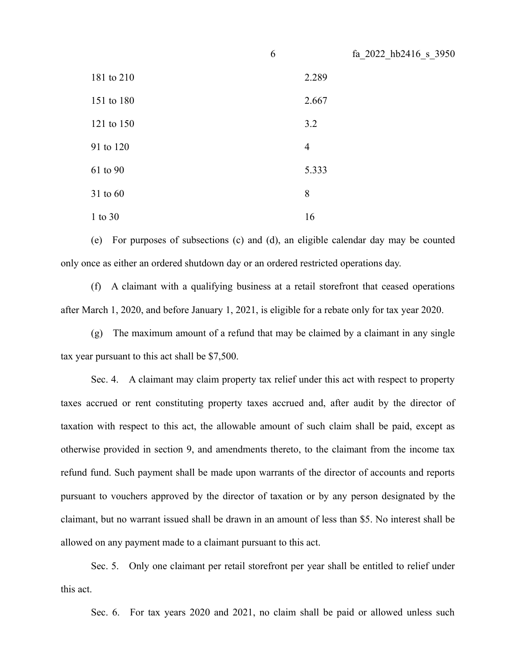|            | 6              | fa_2022_hb2416_s_3950 |
|------------|----------------|-----------------------|
| 181 to 210 |                | 2.289                 |
| 151 to 180 |                | 2.667                 |
| 121 to 150 |                | 3.2                   |
| 91 to 120  | $\overline{4}$ |                       |
| 61 to 90   |                | 5.333                 |
| 31 to 60   | 8              |                       |
| 1 to 30    | 16             |                       |

(e) For purposes of subsections (c) and (d), an eligible calendar day may be counted only once as either an ordered shutdown day or an ordered restricted operations day.

(f) A claimant with a qualifying business at a retail storefront that ceased operations after March 1, 2020, and before January 1, 2021, is eligible for a rebate only for tax year 2020.

(g) The maximum amount of a refund that may be claimed by a claimant in any single tax year pursuant to this act shall be \$7,500.

Sec. 4. A claimant may claim property tax relief under this act with respect to property taxes accrued or rent constituting property taxes accrued and, after audit by the director of taxation with respect to this act, the allowable amount of such claim shall be paid, except as otherwise provided in section 9, and amendments thereto, to the claimant from the income tax refund fund. Such payment shall be made upon warrants of the director of accounts and reports pursuant to vouchers approved by the director of taxation or by any person designated by the claimant, but no warrant issued shall be drawn in an amount of less than \$5. No interest shall be allowed on any payment made to a claimant pursuant to this act.

Sec. 5. Only one claimant per retail storefront per year shall be entitled to relief under this act.

Sec. 6. For tax years 2020 and 2021, no claim shall be paid or allowed unless such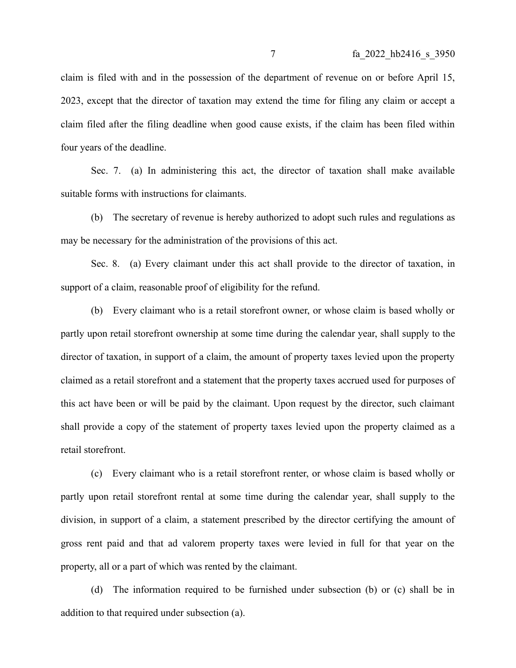claim is filed with and in the possession of the department of revenue on or before April 15, 2023, except that the director of taxation may extend the time for filing any claim or accept a claim filed after the filing deadline when good cause exists, if the claim has been filed within four years of the deadline.

Sec. 7. (a) In administering this act, the director of taxation shall make available suitable forms with instructions for claimants.

(b) The secretary of revenue is hereby authorized to adopt such rules and regulations as may be necessary for the administration of the provisions of this act.

Sec. 8. (a) Every claimant under this act shall provide to the director of taxation, in support of a claim, reasonable proof of eligibility for the refund.

(b) Every claimant who is a retail storefront owner, or whose claim is based wholly or partly upon retail storefront ownership at some time during the calendar year, shall supply to the director of taxation, in support of a claim, the amount of property taxes levied upon the property claimed as a retail storefront and a statement that the property taxes accrued used for purposes of this act have been or will be paid by the claimant. Upon request by the director, such claimant shall provide a copy of the statement of property taxes levied upon the property claimed as a retail storefront.

(c) Every claimant who is a retail storefront renter, or whose claim is based wholly or partly upon retail storefront rental at some time during the calendar year, shall supply to the division, in support of a claim, a statement prescribed by the director certifying the amount of gross rent paid and that ad valorem property taxes were levied in full for that year on the property, all or a part of which was rented by the claimant.

(d) The information required to be furnished under subsection (b) or (c) shall be in addition to that required under subsection (a).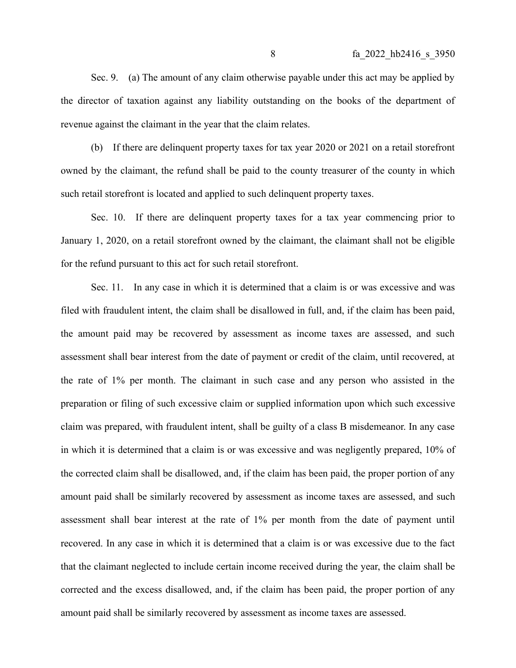Sec. 9. (a) The amount of any claim otherwise payable under this act may be applied by the director of taxation against any liability outstanding on the books of the department of revenue against the claimant in the year that the claim relates.

(b) If there are delinquent property taxes for tax year 2020 or 2021 on a retail storefront owned by the claimant, the refund shall be paid to the county treasurer of the county in which such retail storefront is located and applied to such delinquent property taxes.

Sec. 10. If there are delinquent property taxes for a tax year commencing prior to January 1, 2020, on a retail storefront owned by the claimant, the claimant shall not be eligible for the refund pursuant to this act for such retail storefront.

Sec. 11. In any case in which it is determined that a claim is or was excessive and was filed with fraudulent intent, the claim shall be disallowed in full, and, if the claim has been paid, the amount paid may be recovered by assessment as income taxes are assessed, and such assessment shall bear interest from the date of payment or credit of the claim, until recovered, at the rate of 1% per month. The claimant in such case and any person who assisted in the preparation or filing of such excessive claim or supplied information upon which such excessive claim was prepared, with fraudulent intent, shall be guilty of a class B misdemeanor. In any case in which it is determined that a claim is or was excessive and was negligently prepared, 10% of the corrected claim shall be disallowed, and, if the claim has been paid, the proper portion of any amount paid shall be similarly recovered by assessment as income taxes are assessed, and such assessment shall bear interest at the rate of 1% per month from the date of payment until recovered. In any case in which it is determined that a claim is or was excessive due to the fact that the claimant neglected to include certain income received during the year, the claim shall be corrected and the excess disallowed, and, if the claim has been paid, the proper portion of any amount paid shall be similarly recovered by assessment as income taxes are assessed.